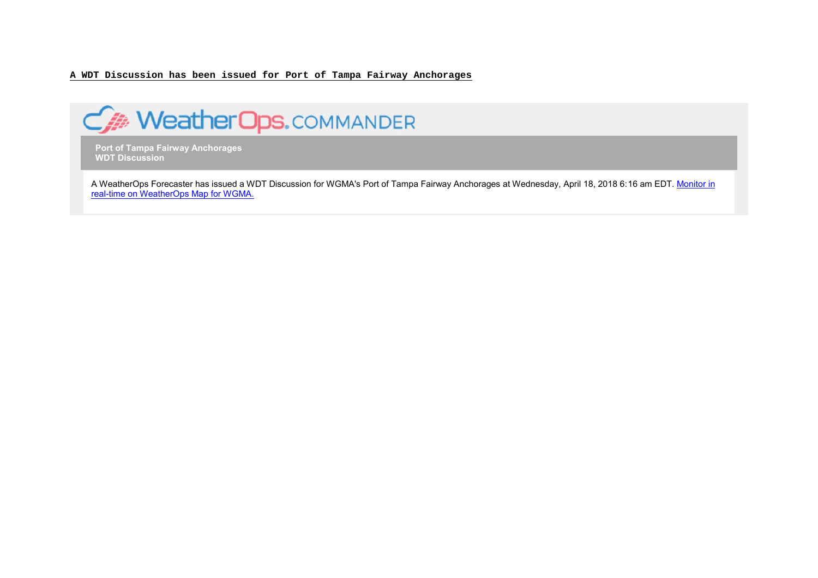**A WDT Discussion has been issued for Port of Tampa Fairway Anchorages**



**Port of Tampa Fairway Anchorages WDT Discussion**

A WeatherOps Forecaster has issued a WDT Discussion for WGMA's Port of Tampa Fairway Anchorages at Wednesday, April 18, 2018 6:16 am EDT. Monitor in real-time on WeatherOps Map for WGMA.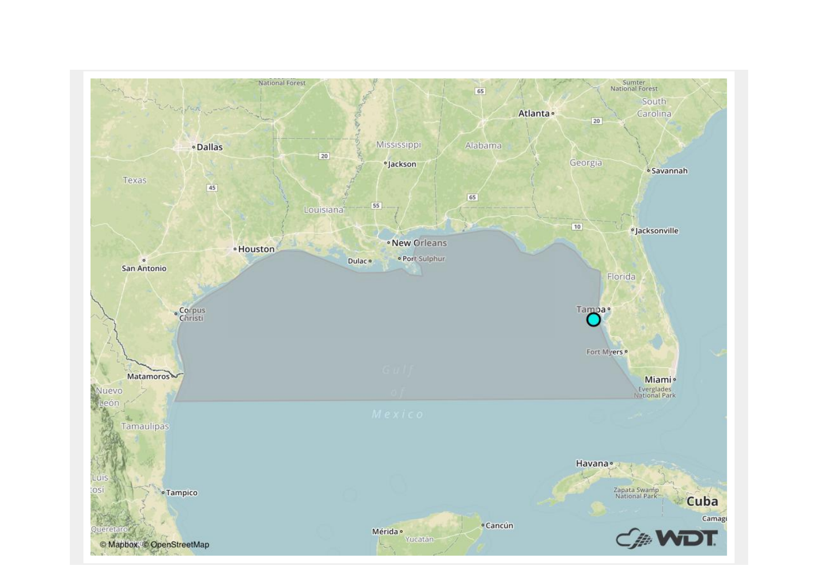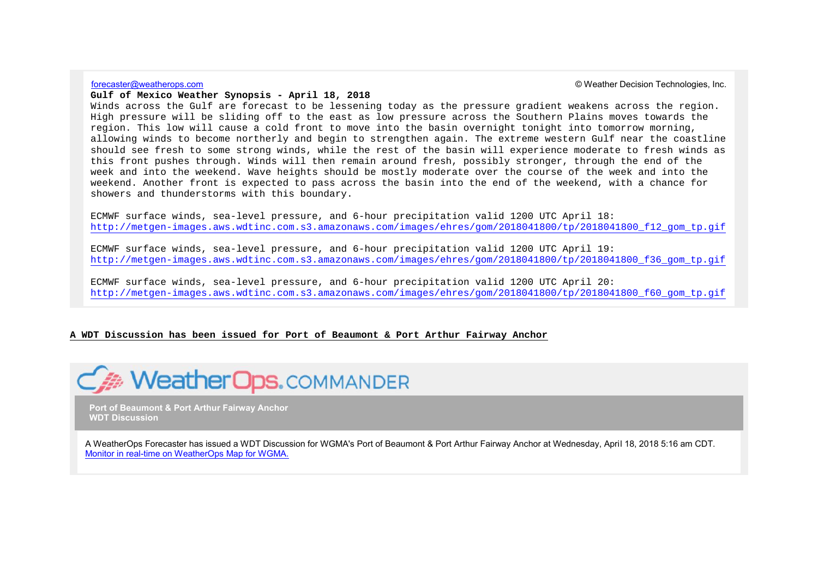forecaster@weatherops.com © Weather Decision Technologies, Inc.

Winds across the Gulf are forecast to be lessening today as the pressure gradient weakens across the region. High pressure will be sliding off to the east as low pressure across the Southern Plains moves towards the region. This low will cause a cold front to move into the basin overnight tonight into tomorrow morning, allowing winds to become northerly and begin to strengthen again. The extreme western Gulf near the coastline should see fresh to some strong winds, while the rest of the basin will experience moderate to fresh winds as this front pushes through. Winds will then remain around fresh, possibly stronger, through the end of the week and into the weekend. Wave heights should be mostly moderate over the course of the week and into the weekend. Another front is expected to pass across the basin into the end of the weekend, with a chance for showers and thunderstorms with this boundary.

ECMWF surface winds, sea-level pressure, and 6-hour precipitation valid 1200 UTC April 18: http://metgen-images.aws.wdtinc.com.s3.amazonaws.com/images/ehres/gom/2018041800/tp/2018041800\_f12\_gom\_tp.gif

ECMWF surface winds, sea-level pressure, and 6-hour precipitation valid 1200 UTC April 19: http://metgen-images.aws.wdtinc.com.s3.amazonaws.com/images/ehres/gom/2018041800/tp/2018041800\_f36\_gom\_tp.gif

ECMWF surface winds, sea-level pressure, and 6-hour precipitation valid 1200 UTC April 20: http://metgen-images.aws.wdtinc.com.s3.amazonaws.com/images/ehres/gom/2018041800/tp/2018041800\_f60\_gom\_tp.gif

# **A WDT Discussion has been issued for Port of Beaumont & Port Arthur Fairway Anchor**



**Port of Beaumont & Port Arthur Fairway Anchor WDT Discussion**

A WeatherOps Forecaster has issued a WDT Discussion for WGMA's Port of Beaumont & Port Arthur Fairway Anchor at Wednesday, April 18, 2018 5:16 am CDT. Monitor in real-time on WeatherOps Map for WGMA.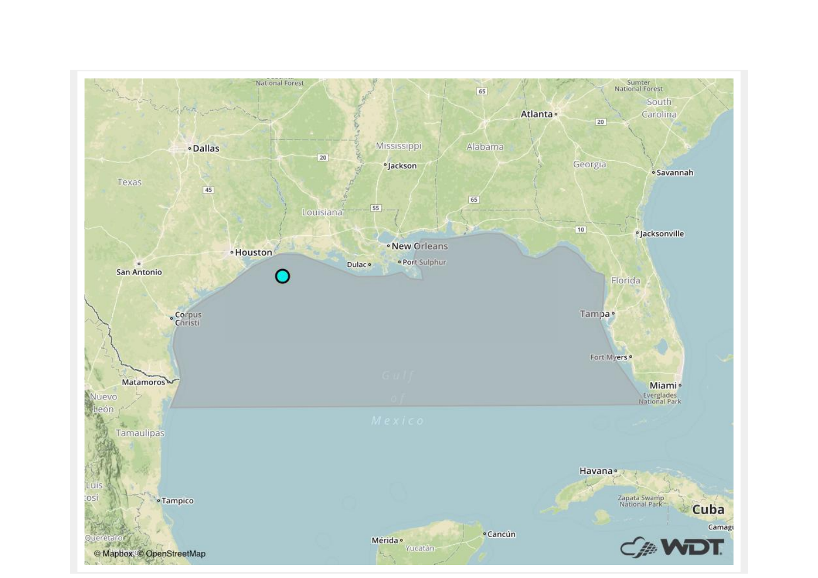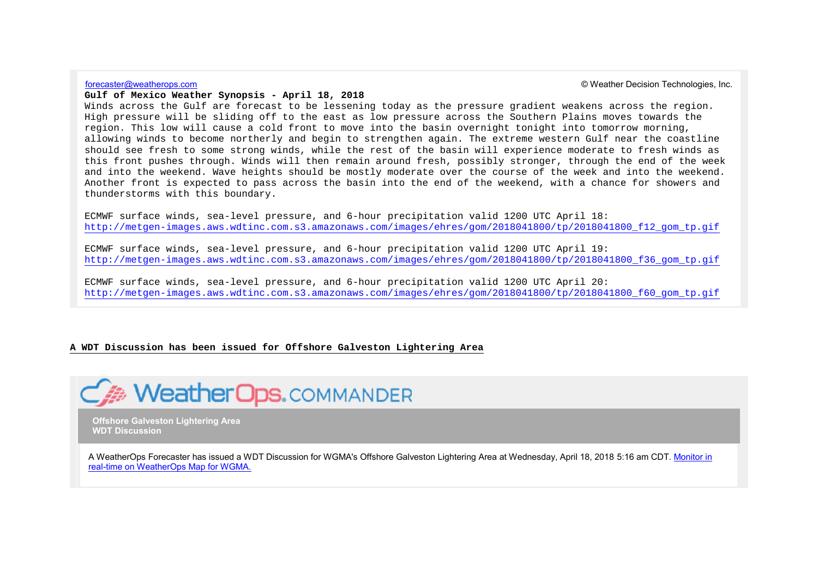### forecaster@weatherops.com © Weather Decision Technologies, Inc.

# **Gulf of Mexico Weather Synopsis - April 18, 2018**

Winds across the Gulf are forecast to be lessening today as the pressure gradient weakens across the region. High pressure will be sliding off to the east as low pressure across the Southern Plains moves towards the region. This low will cause a cold front to move into the basin overnight tonight into tomorrow morning, allowing winds to become northerly and begin to strengthen again. The extreme western Gulf near the coastline should see fresh to some strong winds, while the rest of the basin will experience moderate to fresh winds as this front pushes through. Winds will then remain around fresh, possibly stronger, through the end of the week and into the weekend. Wave heights should be mostly moderate over the course of the week and into the weekend. Another front is expected to pass across the basin into the end of the weekend, with a chance for showers and thunderstorms with this boundary.

ECMWF surface winds, sea-level pressure, and 6-hour precipitation valid 1200 UTC April 18: http://metgen-images.aws.wdtinc.com.s3.amazonaws.com/images/ehres/gom/2018041800/tp/2018041800\_f12\_gom\_tp.gif

ECMWF surface winds, sea-level pressure, and 6-hour precipitation valid 1200 UTC April 19: http://metgen-images.aws.wdtinc.com.s3.amazonaws.com/images/ehres/gom/2018041800/tp/2018041800\_f36\_gom\_tp.gif

ECMWF surface winds, sea-level pressure, and 6-hour precipitation valid 1200 UTC April 20: http://metgen-images.aws.wdtinc.com.s3.amazonaws.com/images/ehres/gom/2018041800/tp/2018041800\_f60\_gom\_tp.gif

# **A WDT Discussion has been issued for Offshore Galveston Lightering Area**



**Offshore Galveston Lightering Area WDT Discussion**

A WeatherOps Forecaster has issued a WDT Discussion for WGMA's Offshore Galveston Lightering Area at Wednesday, April 18, 2018 5:16 am CDT. Monitor in real-time on WeatherOps Map for WGMA.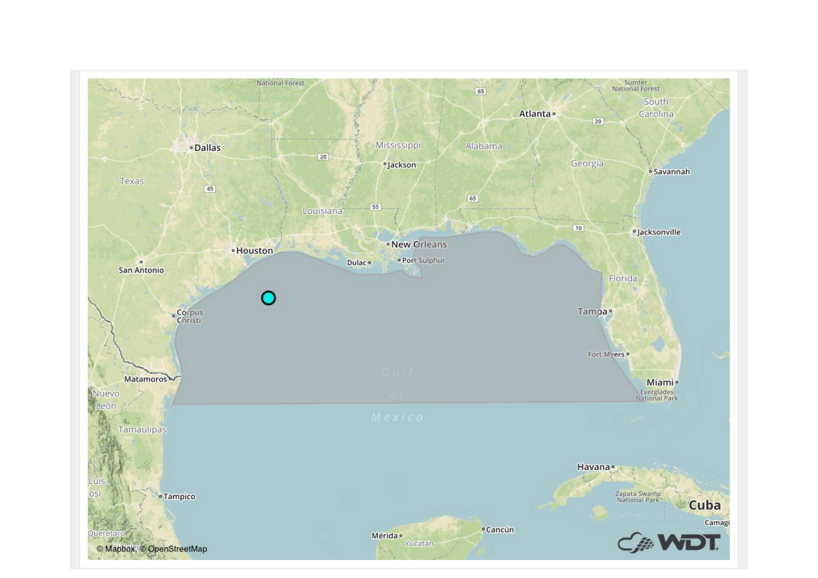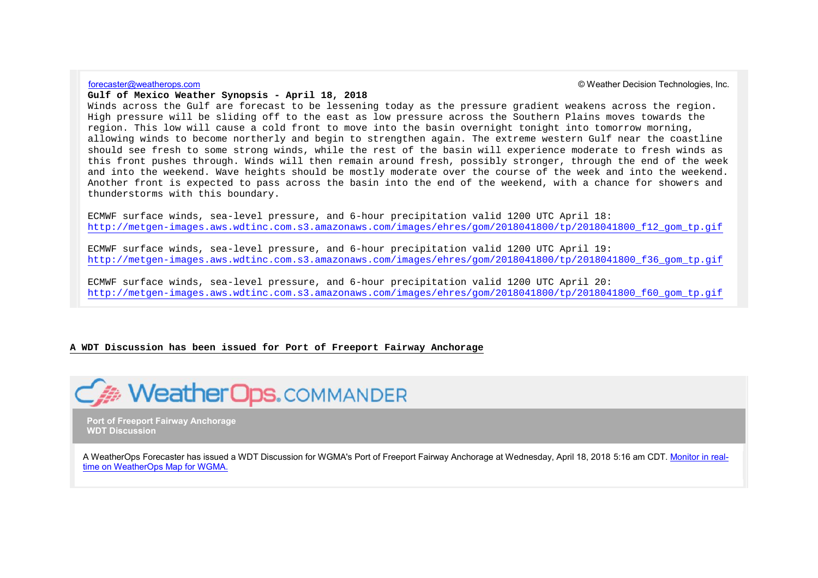### forecaster@weatherops.com © Weather Decision Technologies, Inc.

# **Gulf of Mexico Weather Synopsis - April 18, 2018**

Winds across the Gulf are forecast to be lessening today as the pressure gradient weakens across the region. High pressure will be sliding off to the east as low pressure across the Southern Plains moves towards the region. This low will cause a cold front to move into the basin overnight tonight into tomorrow morning, allowing winds to become northerly and begin to strengthen again. The extreme western Gulf near the coastline should see fresh to some strong winds, while the rest of the basin will experience moderate to fresh winds as this front pushes through. Winds will then remain around fresh, possibly stronger, through the end of the week and into the weekend. Wave heights should be mostly moderate over the course of the week and into the weekend. Another front is expected to pass across the basin into the end of the weekend, with a chance for showers and thunderstorms with this boundary.

ECMWF surface winds, sea-level pressure, and 6-hour precipitation valid 1200 UTC April 18: http://metgen-images.aws.wdtinc.com.s3.amazonaws.com/images/ehres/gom/2018041800/tp/2018041800\_f12\_gom\_tp.gif

ECMWF surface winds, sea-level pressure, and 6-hour precipitation valid 1200 UTC April 19: http://metgen-images.aws.wdtinc.com.s3.amazonaws.com/images/ehres/gom/2018041800/tp/2018041800\_f36\_gom\_tp.gif

ECMWF surface winds, sea-level pressure, and 6-hour precipitation valid 1200 UTC April 20: http://metgen-images.aws.wdtinc.com.s3.amazonaws.com/images/ehres/gom/2018041800/tp/2018041800\_f60\_gom\_tp.gif

# **A WDT Discussion has been issued for Port of Freeport Fairway Anchorage**



**Port of Freeport Fairway Anchorage WDT Discussion**

A WeatherOps Forecaster has issued a WDT Discussion for WGMA's Port of Freeport Fairway Anchorage at Wednesday, April 18, 2018 5:16 am CDT. Monitor in realtime on WeatherOps Map for WGMA.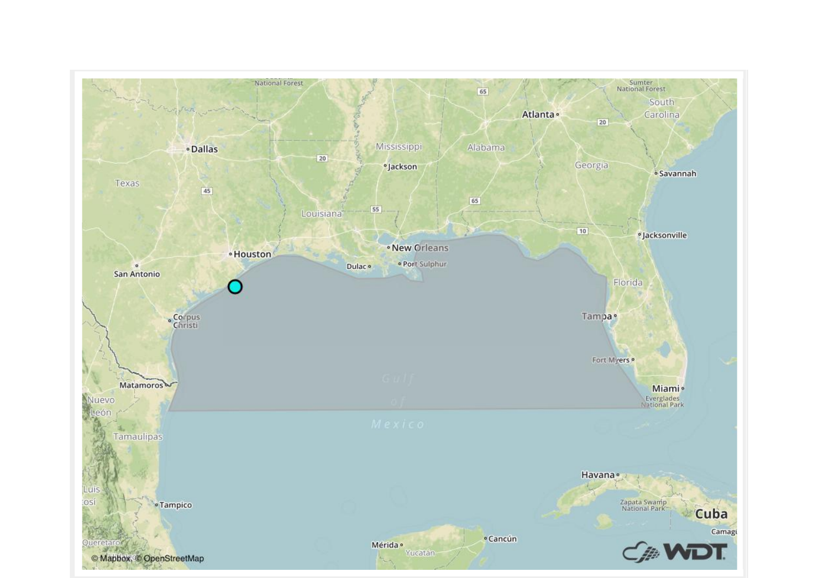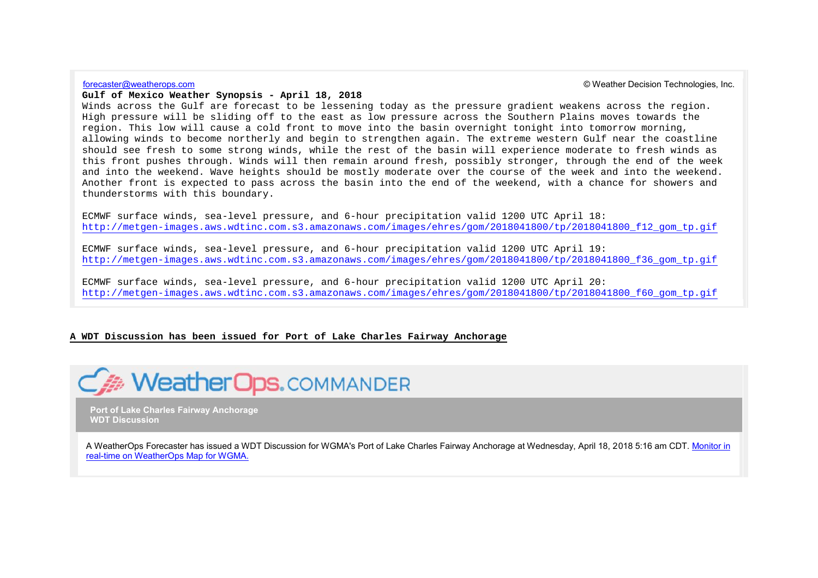forecaster@weatherops.com © Weather Decision Technologies, Inc.

Winds across the Gulf are forecast to be lessening today as the pressure gradient weakens across the region. High pressure will be sliding off to the east as low pressure across the Southern Plains moves towards the region. This low will cause a cold front to move into the basin overnight tonight into tomorrow morning, allowing winds to become northerly and begin to strengthen again. The extreme western Gulf near the coastline should see fresh to some strong winds, while the rest of the basin will experience moderate to fresh winds as this front pushes through. Winds will then remain around fresh, possibly stronger, through the end of the week and into the weekend. Wave heights should be mostly moderate over the course of the week and into the weekend. Another front is expected to pass across the basin into the end of the weekend, with a chance for showers and thunderstorms with this boundary.

ECMWF surface winds, sea-level pressure, and 6-hour precipitation valid 1200 UTC April 18: http://metgen-images.aws.wdtinc.com.s3.amazonaws.com/images/ehres/gom/2018041800/tp/2018041800\_f12\_gom\_tp.gif

ECMWF surface winds, sea-level pressure, and 6-hour precipitation valid 1200 UTC April 19: http://metgen-images.aws.wdtinc.com.s3.amazonaws.com/images/ehres/gom/2018041800/tp/2018041800\_f36\_gom\_tp.gif

ECMWF surface winds, sea-level pressure, and 6-hour precipitation valid 1200 UTC April 20: http://metgen-images.aws.wdtinc.com.s3.amazonaws.com/images/ehres/gom/2018041800/tp/2018041800\_f60\_gom\_tp.gif

# **A WDT Discussion has been issued for Port of Lake Charles Fairway Anchorage**



**Port of Lake Charles Fairway Anchorage WDT Discussion**

A WeatherOps Forecaster has issued a WDT Discussion for WGMA's Port of Lake Charles Fairway Anchorage at Wednesday, April 18, 2018 5:16 am CDT. Monitor in real-time on WeatherOps Map for WGMA.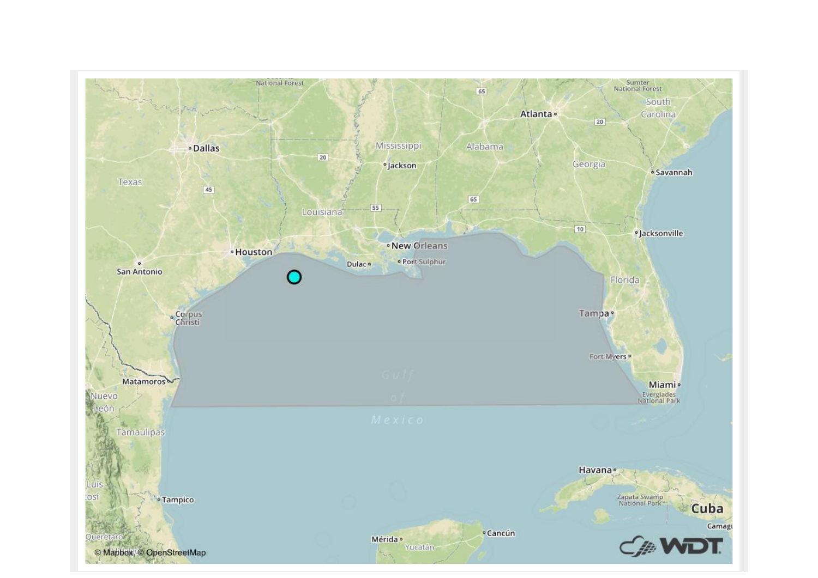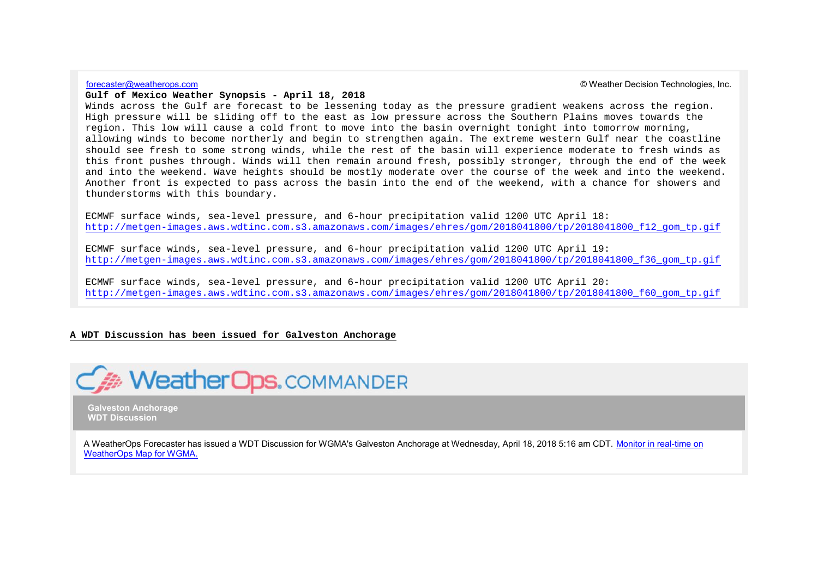forecaster@weatherops.com © Weather Decision Technologies, Inc.

Winds across the Gulf are forecast to be lessening today as the pressure gradient weakens across the region. High pressure will be sliding off to the east as low pressure across the Southern Plains moves towards the region. This low will cause a cold front to move into the basin overnight tonight into tomorrow morning, allowing winds to become northerly and begin to strengthen again. The extreme western Gulf near the coastline should see fresh to some strong winds, while the rest of the basin will experience moderate to fresh winds as this front pushes through. Winds will then remain around fresh, possibly stronger, through the end of the week and into the weekend. Wave heights should be mostly moderate over the course of the week and into the weekend. Another front is expected to pass across the basin into the end of the weekend, with a chance for showers and thunderstorms with this boundary.

ECMWF surface winds, sea-level pressure, and 6-hour precipitation valid 1200 UTC April 18: http://metgen-images.aws.wdtinc.com.s3.amazonaws.com/images/ehres/gom/2018041800/tp/2018041800\_f12\_gom\_tp.gif

ECMWF surface winds, sea-level pressure, and 6-hour precipitation valid 1200 UTC April 19: http://metgen-images.aws.wdtinc.com.s3.amazonaws.com/images/ehres/gom/2018041800/tp/2018041800\_f36\_gom\_tp.gif

ECMWF surface winds, sea-level pressure, and 6-hour precipitation valid 1200 UTC April 20: http://metgen-images.aws.wdtinc.com.s3.amazonaws.com/images/ehres/gom/2018041800/tp/2018041800\_f60\_gom\_tp.gif

# **A WDT Discussion has been issued for Galveston Anchorage**



**Galveston Anchorage WDT Discussion**

A WeatherOps Forecaster has issued a WDT Discussion for WGMA's Galveston Anchorage at Wednesday, April 18, 2018 5:16 am CDT. Monitor in real-time on WeatherOps Map for WGMA.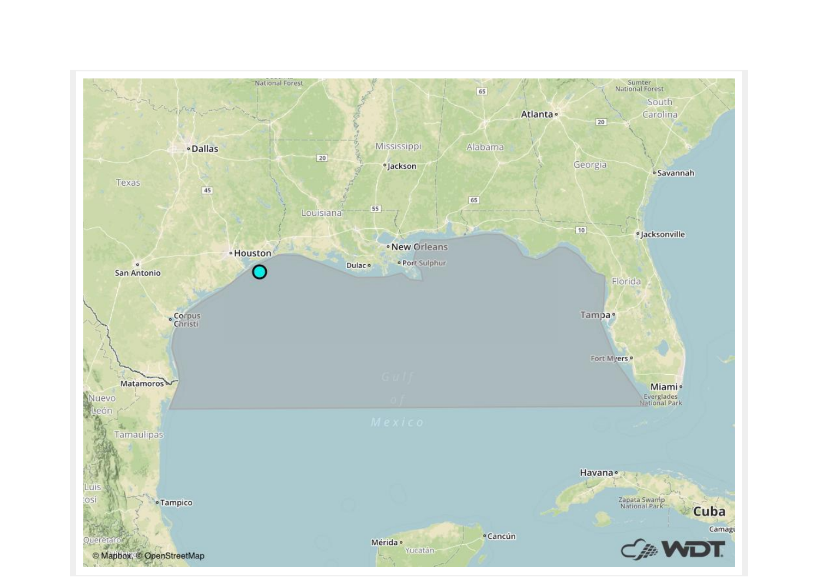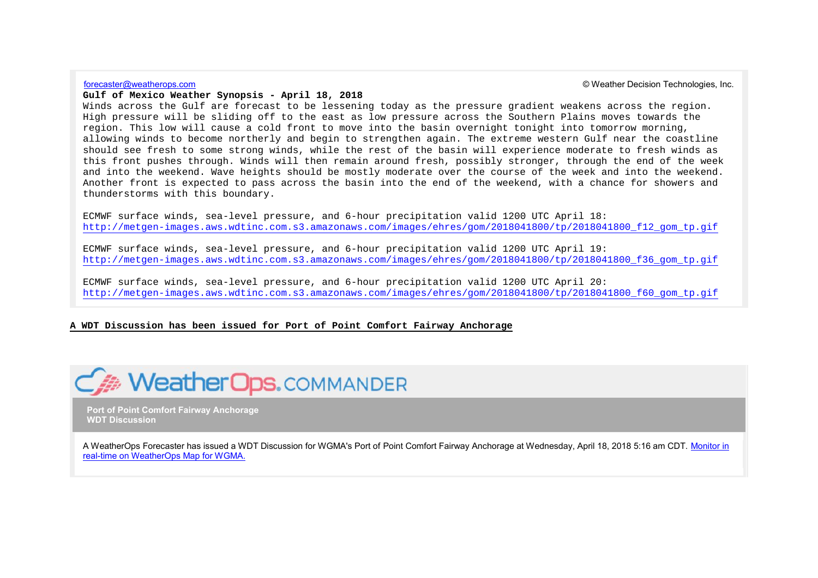forecaster@weatherops.com © Weather Decision Technologies, Inc.

Winds across the Gulf are forecast to be lessening today as the pressure gradient weakens across the region. High pressure will be sliding off to the east as low pressure across the Southern Plains moves towards the region. This low will cause a cold front to move into the basin overnight tonight into tomorrow morning, allowing winds to become northerly and begin to strengthen again. The extreme western Gulf near the coastline should see fresh to some strong winds, while the rest of the basin will experience moderate to fresh winds as this front pushes through. Winds will then remain around fresh, possibly stronger, through the end of the week and into the weekend. Wave heights should be mostly moderate over the course of the week and into the weekend. Another front is expected to pass across the basin into the end of the weekend, with a chance for showers and thunderstorms with this boundary.

ECMWF surface winds, sea-level pressure, and 6-hour precipitation valid 1200 UTC April 18: http://metgen-images.aws.wdtinc.com.s3.amazonaws.com/images/ehres/gom/2018041800/tp/2018041800\_f12\_gom\_tp.gif

ECMWF surface winds, sea-level pressure, and 6-hour precipitation valid 1200 UTC April 19: http://metgen-images.aws.wdtinc.com.s3.amazonaws.com/images/ehres/gom/2018041800/tp/2018041800\_f36\_gom\_tp.gif

ECMWF surface winds, sea-level pressure, and 6-hour precipitation valid 1200 UTC April 20: http://metgen-images.aws.wdtinc.com.s3.amazonaws.com/images/ehres/gom/2018041800/tp/2018041800\_f60\_gom\_tp.gif

# **A WDT Discussion has been issued for Port of Point Comfort Fairway Anchorage**



**Port of Point Comfort Fairway Anchorage WDT Discussion**

A WeatherOps Forecaster has issued a WDT Discussion for WGMA's Port of Point Comfort Fairway Anchorage at Wednesday, April 18, 2018 5:16 am CDT. Monitor in real-time on WeatherOps Map for WGMA.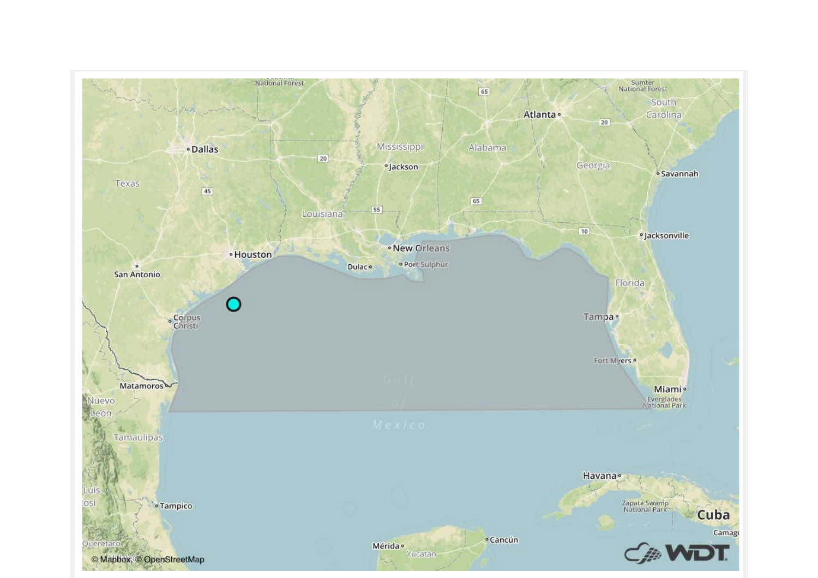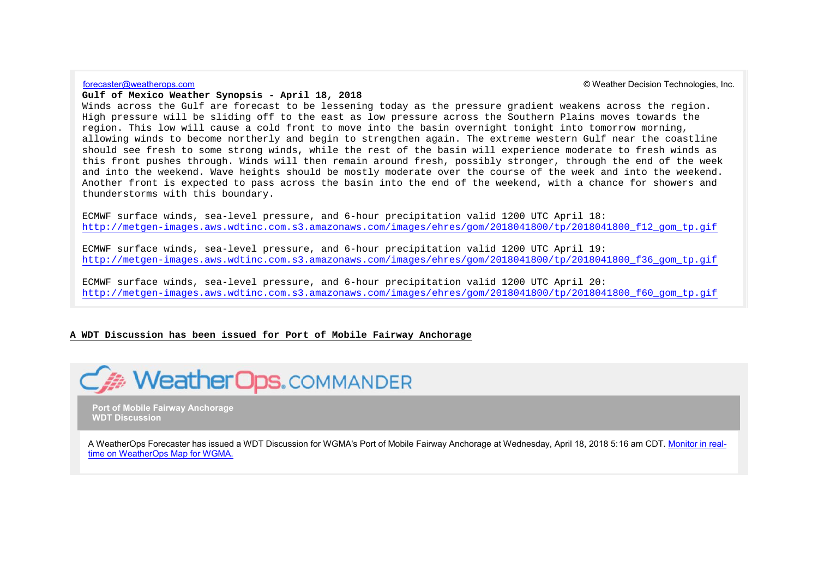forecaster@weatherops.com © Weather Decision Technologies, Inc.

Winds across the Gulf are forecast to be lessening today as the pressure gradient weakens across the region. High pressure will be sliding off to the east as low pressure across the Southern Plains moves towards the region. This low will cause a cold front to move into the basin overnight tonight into tomorrow morning, allowing winds to become northerly and begin to strengthen again. The extreme western Gulf near the coastline should see fresh to some strong winds, while the rest of the basin will experience moderate to fresh winds as this front pushes through. Winds will then remain around fresh, possibly stronger, through the end of the week and into the weekend. Wave heights should be mostly moderate over the course of the week and into the weekend. Another front is expected to pass across the basin into the end of the weekend, with a chance for showers and thunderstorms with this boundary.

ECMWF surface winds, sea-level pressure, and 6-hour precipitation valid 1200 UTC April 18: http://metgen-images.aws.wdtinc.com.s3.amazonaws.com/images/ehres/gom/2018041800/tp/2018041800\_f12\_gom\_tp.gif

ECMWF surface winds, sea-level pressure, and 6-hour precipitation valid 1200 UTC April 19: http://metgen-images.aws.wdtinc.com.s3.amazonaws.com/images/ehres/gom/2018041800/tp/2018041800\_f36\_gom\_tp.gif

ECMWF surface winds, sea-level pressure, and 6-hour precipitation valid 1200 UTC April 20: http://metgen-images.aws.wdtinc.com.s3.amazonaws.com/images/ehres/gom/2018041800/tp/2018041800\_f60\_gom\_tp.gif

# **A WDT Discussion has been issued for Port of Mobile Fairway Anchorage**



**Port of Mobile Fairway Anchorage WDT Discussion**

A WeatherOps Forecaster has issued a WDT Discussion for WGMA's Port of Mobile Fairway Anchorage at Wednesday, April 18, 2018 5:16 am CDT. Monitor in realtime on WeatherOps Map for WGMA.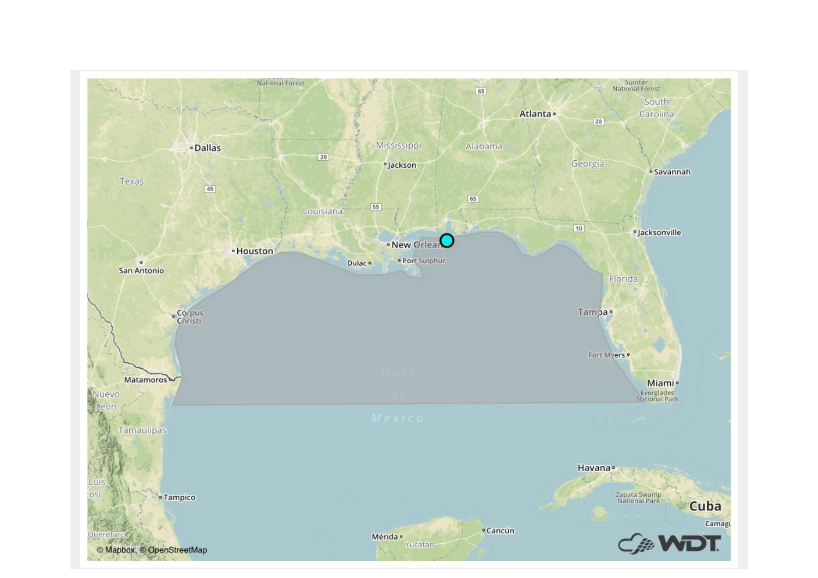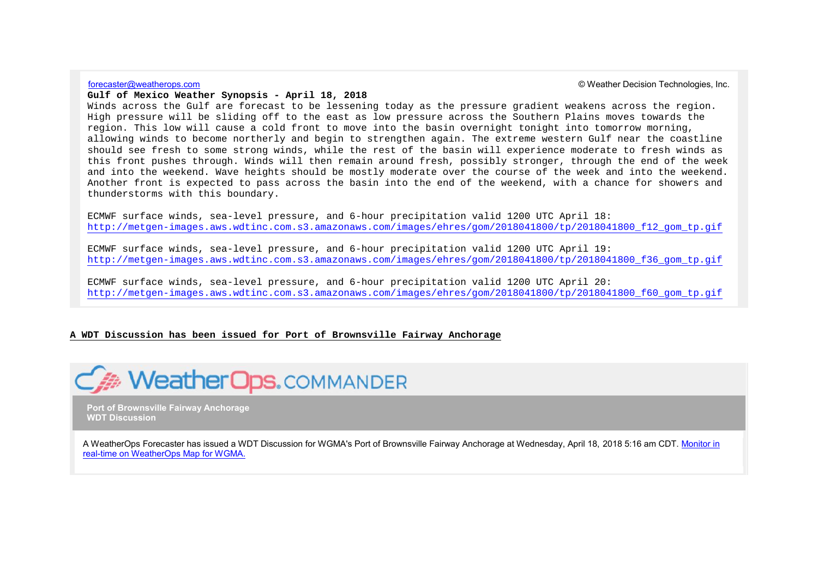### forecaster@weatherops.com © Weather Decision Technologies, Inc.

# **Gulf of Mexico Weather Synopsis - April 18, 2018**

Winds across the Gulf are forecast to be lessening today as the pressure gradient weakens across the region. High pressure will be sliding off to the east as low pressure across the Southern Plains moves towards the region. This low will cause a cold front to move into the basin overnight tonight into tomorrow morning, allowing winds to become northerly and begin to strengthen again. The extreme western Gulf near the coastline should see fresh to some strong winds, while the rest of the basin will experience moderate to fresh winds as this front pushes through. Winds will then remain around fresh, possibly stronger, through the end of the week and into the weekend. Wave heights should be mostly moderate over the course of the week and into the weekend. Another front is expected to pass across the basin into the end of the weekend, with a chance for showers and thunderstorms with this boundary.

ECMWF surface winds, sea-level pressure, and 6-hour precipitation valid 1200 UTC April 18: http://metgen-images.aws.wdtinc.com.s3.amazonaws.com/images/ehres/gom/2018041800/tp/2018041800\_f12\_gom\_tp.gif

ECMWF surface winds, sea-level pressure, and 6-hour precipitation valid 1200 UTC April 19: http://metgen-images.aws.wdtinc.com.s3.amazonaws.com/images/ehres/gom/2018041800/tp/2018041800\_f36\_gom\_tp.gif

ECMWF surface winds, sea-level pressure, and 6-hour precipitation valid 1200 UTC April 20: http://metgen-images.aws.wdtinc.com.s3.amazonaws.com/images/ehres/gom/2018041800/tp/2018041800\_f60\_gom\_tp.gif

# **A WDT Discussion has been issued for Port of Brownsville Fairway Anchorage**



**Port of Brownsville Fairway Anchorage WDT Discussion**

A WeatherOps Forecaster has issued a WDT Discussion for WGMA's Port of Brownsville Fairway Anchorage at Wednesday, April 18, 2018 5:16 am CDT. Monitor in real-time on WeatherOps Map for WGMA.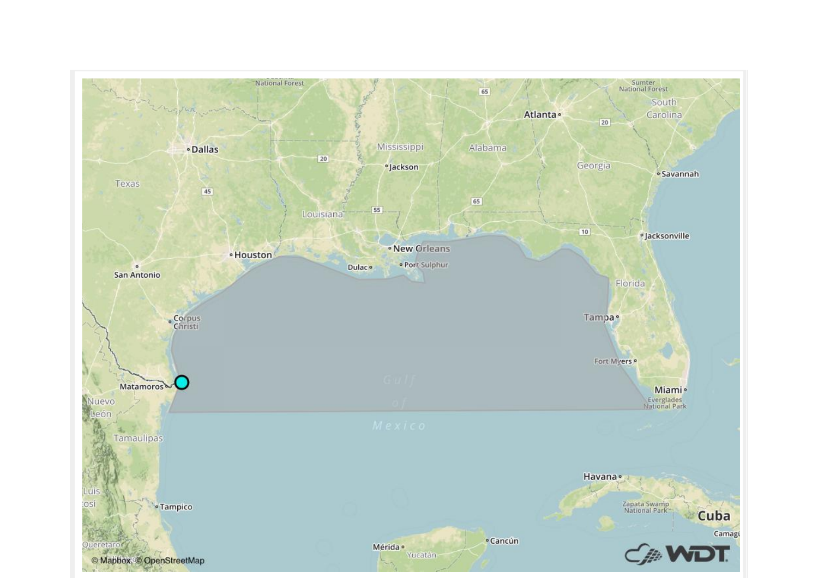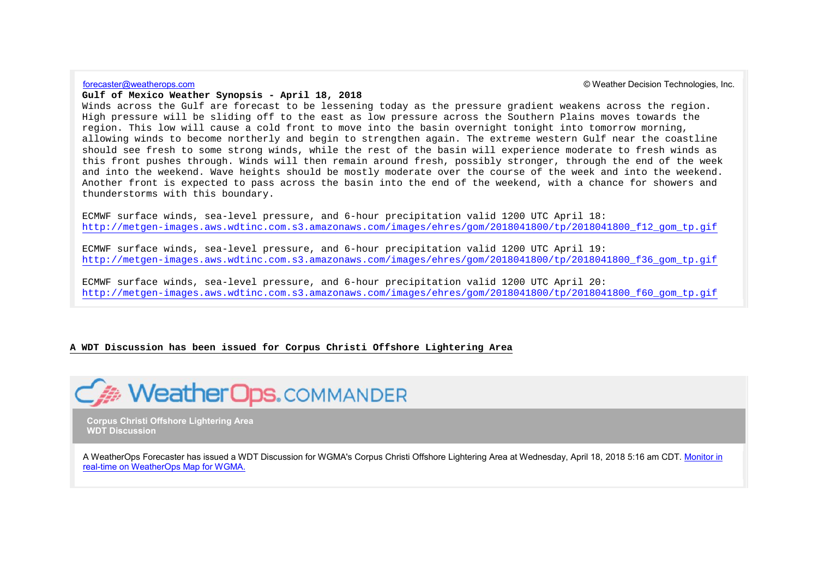forecaster@weatherops.com © Weather Decision Technologies, Inc.

Winds across the Gulf are forecast to be lessening today as the pressure gradient weakens across the region. High pressure will be sliding off to the east as low pressure across the Southern Plains moves towards the region. This low will cause a cold front to move into the basin overnight tonight into tomorrow morning, allowing winds to become northerly and begin to strengthen again. The extreme western Gulf near the coastline should see fresh to some strong winds, while the rest of the basin will experience moderate to fresh winds as this front pushes through. Winds will then remain around fresh, possibly stronger, through the end of the week and into the weekend. Wave heights should be mostly moderate over the course of the week and into the weekend. Another front is expected to pass across the basin into the end of the weekend, with a chance for showers and thunderstorms with this boundary.

ECMWF surface winds, sea-level pressure, and 6-hour precipitation valid 1200 UTC April 18: http://metgen-images.aws.wdtinc.com.s3.amazonaws.com/images/ehres/gom/2018041800/tp/2018041800\_f12\_gom\_tp.gif

ECMWF surface winds, sea-level pressure, and 6-hour precipitation valid 1200 UTC April 19: http://metgen-images.aws.wdtinc.com.s3.amazonaws.com/images/ehres/gom/2018041800/tp/2018041800\_f36\_gom\_tp.gif

ECMWF surface winds, sea-level pressure, and 6-hour precipitation valid 1200 UTC April 20: http://metgen-images.aws.wdtinc.com.s3.amazonaws.com/images/ehres/gom/2018041800/tp/2018041800\_f60\_gom\_tp.gif

# **A WDT Discussion has been issued for Corpus Christi Offshore Lightering Area**



**Corpus Christi Offshore Lightering Area WDT Discussion**

A WeatherOps Forecaster has issued a WDT Discussion for WGMA's Corpus Christi Offshore Lightering Area at Wednesday, April 18, 2018 5:16 am CDT. Monitor in real-time on WeatherOps Map for WGMA.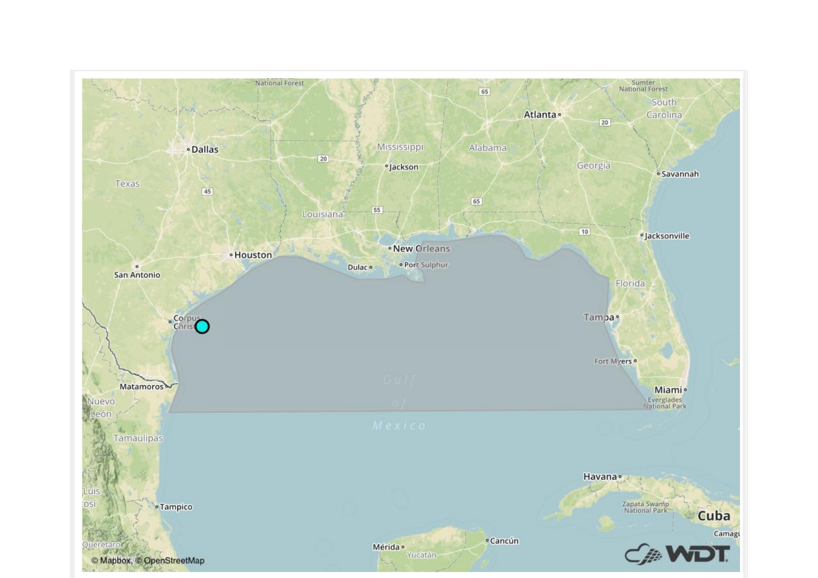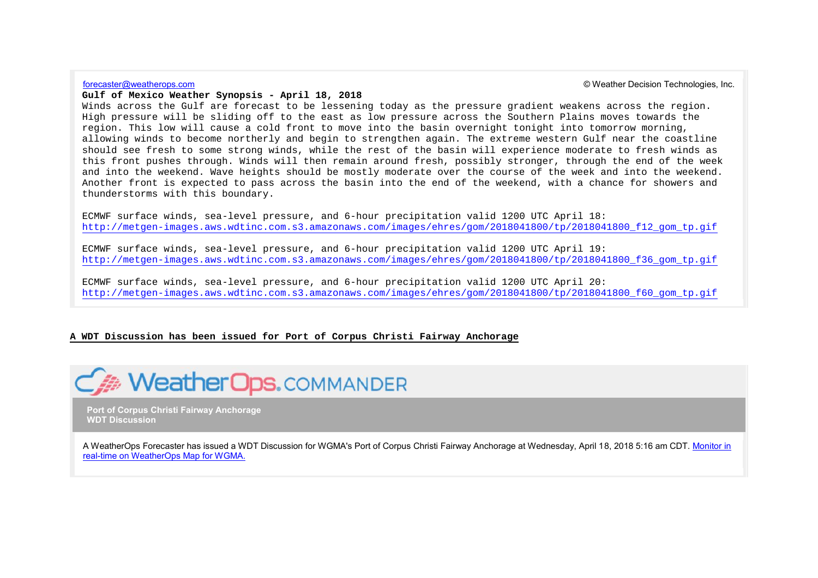forecaster@weatherops.com © Weather Decision Technologies, Inc.

Winds across the Gulf are forecast to be lessening today as the pressure gradient weakens across the region. High pressure will be sliding off to the east as low pressure across the Southern Plains moves towards the region. This low will cause a cold front to move into the basin overnight tonight into tomorrow morning, allowing winds to become northerly and begin to strengthen again. The extreme western Gulf near the coastline should see fresh to some strong winds, while the rest of the basin will experience moderate to fresh winds as this front pushes through. Winds will then remain around fresh, possibly stronger, through the end of the week and into the weekend. Wave heights should be mostly moderate over the course of the week and into the weekend. Another front is expected to pass across the basin into the end of the weekend, with a chance for showers and thunderstorms with this boundary.

ECMWF surface winds, sea-level pressure, and 6-hour precipitation valid 1200 UTC April 18: http://metgen-images.aws.wdtinc.com.s3.amazonaws.com/images/ehres/gom/2018041800/tp/2018041800\_f12\_gom\_tp.gif

ECMWF surface winds, sea-level pressure, and 6-hour precipitation valid 1200 UTC April 19: http://metgen-images.aws.wdtinc.com.s3.amazonaws.com/images/ehres/gom/2018041800/tp/2018041800\_f36\_gom\_tp.gif

ECMWF surface winds, sea-level pressure, and 6-hour precipitation valid 1200 UTC April 20: http://metgen-images.aws.wdtinc.com.s3.amazonaws.com/images/ehres/gom/2018041800/tp/2018041800\_f60\_gom\_tp.gif

# **A WDT Discussion has been issued for Port of Corpus Christi Fairway Anchorage**



**Port of Corpus Christi Fairway Anchorage WDT Discussion**

A WeatherOps Forecaster has issued a WDT Discussion for WGMA's Port of Corpus Christi Fairway Anchorage at Wednesday, April 18, 2018 5:16 am CDT. Monitor in real-time on WeatherOps Map for WGMA.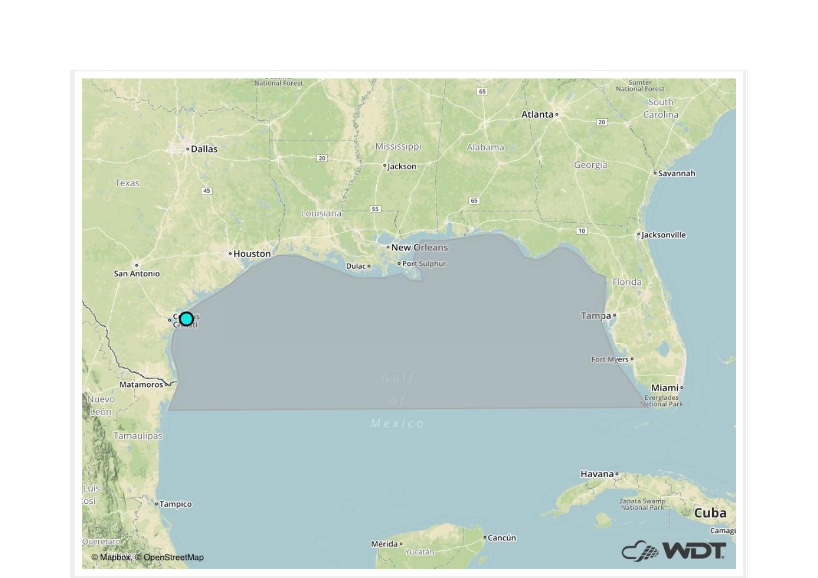